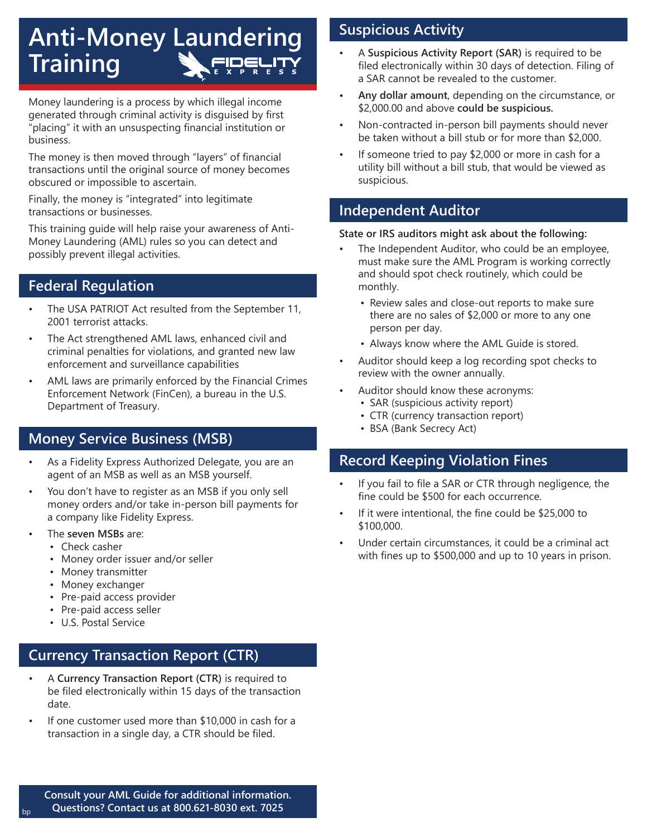# **Anti-Money Laundering Training**

Money laundering is a process by which illegal income generated through criminal activity is disguised by first "placing" it with an unsuspecting financial institution or business.

The money is then moved through "layers" of financial transactions until the original source of money becomes obscured or impossible to ascertain.

Finally, the money is "integrated" into legitimate transactions or businesses.

This training guide will help raise your awareness of Anti-Money Laundering (AML) rules so you can detect and possibly prevent illegal activities.

### **Federal Regulation**

- The USA PATRIOT Act resulted from the September 11, 2001 terrorist attacks.
- The Act strengthened AML laws, enhanced civil and criminal penalties for violations, and granted new law enforcement and surveillance capabilities
- AML laws are primarily enforced by the Financial Crimes Enforcement Network (FinCen), a bureau in the U.S. Department of Treasury.

### **Money Service Business (MSB)**

- As a Fidelity Express Authorized Delegate, you are an agent of an MSB as well as an MSB yourself.
- You don't have to register as an MSB if you only sell money orders and/or take in-person bill payments for a company like Fidelity Express.
- The **seven MSBs** are:
	- Check casher
	- Money order issuer and/or seller
	- Money transmitter
	- Money exchanger
	- Pre-paid access provider
	- Pre-paid access seller
	- U.S. Postal Service

### **Currency Transaction Report (CTR)**

- A **Currency Transaction Report (CTR)** is required to be filed electronically within 15 days of the transaction date.
- If one customer used more than \$10,000 in cash for a transaction in a single day, a CTR should be filed.

## **Suspicious Activity**

- A **Suspicious Activity Report (SAR)** is required to be filed electronically within 30 days of detection. Filing of a SAR cannot be revealed to the customer.
- **Any dollar amount**, depending on the circumstance, or \$2,000.00 and above **could be suspicious.**
- Non-contracted in-person bill payments should never be taken without a bill stub or for more than \$2,000.
- If someone tried to pay \$2,000 or more in cash for a utility bill without a bill stub, that would be viewed as suspicious.

#### **Independent Auditor**

#### **State or IRS auditors might ask about the following:**

- The Independent Auditor, who could be an employee, must make sure the AML Program is working correctly and should spot check routinely, which could be monthly.
	- Review sales and close-out reports to make sure there are no sales of \$2,000 or more to any one person per day.
	- Always know where the AML Guide is stored.
- Auditor should keep a log recording spot checks to review with the owner annually.
- Auditor should know these acronyms:
	- SAR (suspicious activity report)
	- CTR (currency transaction report)
	- BSA (Bank Secrecy Act)

### **Record Keeping Violation Fines**

- If you fail to file a SAR or CTR through negligence, the fine could be \$500 for each occurrence.
- If it were intentional, the fine could be \$25,000 to \$100,000.
- Under certain circumstances, it could be a criminal act with fines up to \$500,000 and up to 10 years in prison.